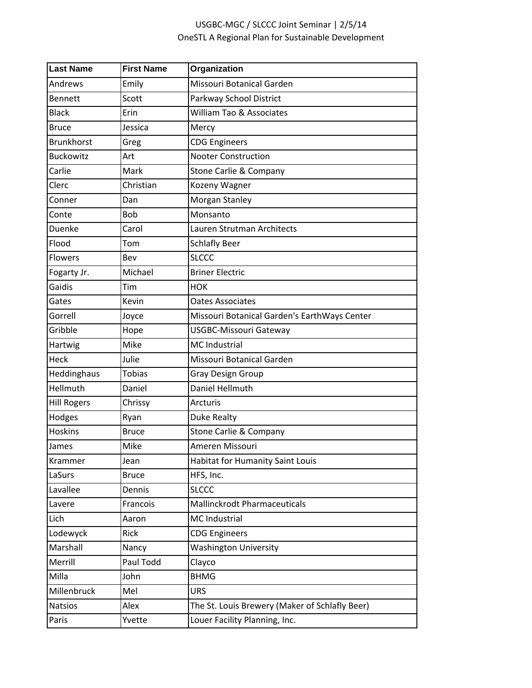## USGBC-MGC / SLCCC Joint Seminar | 2/5/14 OneSTL A Regional Plan for Sustainable Development

| <b>Last Name</b>   | <b>First Name</b> | Organization                                   |
|--------------------|-------------------|------------------------------------------------|
| Andrews            | Emily             | Missouri Botanical Garden                      |
| <b>Bennett</b>     | Scott             | Parkway School District                        |
| <b>Black</b>       | Erin              | William Tao & Associates                       |
| <b>Bruce</b>       | Jessica           | Mercy                                          |
| <b>Brunkhorst</b>  | Greg              | <b>CDG Engineers</b>                           |
| <b>Buckowitz</b>   | Art               | <b>Nooter Construction</b>                     |
| Carlie             | Mark              | <b>Stone Carlie &amp; Company</b>              |
| Clerc              | Christian         | Kozeny Wagner                                  |
| Conner             | Dan               | Morgan Stanley                                 |
| Conte              | Bob               | Monsanto                                       |
| Duenke             | Carol             | Lauren Strutman Architects                     |
| Flood              | Tom               | <b>Schlafly Beer</b>                           |
| <b>Flowers</b>     | Bev               | <b>SLCCC</b>                                   |
| Fogarty Jr.        | Michael           | <b>Briner Electric</b>                         |
| Gaidis             | Tim               | <b>HOK</b>                                     |
| Gates              | Kevin             | <b>Oates Associates</b>                        |
| Gorrell            | Joyce             | Missouri Botanical Garden's EarthWays Center   |
| Gribble            | Hope              | <b>USGBC-Missouri Gateway</b>                  |
| Hartwig            | Mike              | <b>MC</b> Industrial                           |
| Heck               | Julie             | Missouri Botanical Garden                      |
| Heddinghaus        | <b>Tobias</b>     | <b>Gray Design Group</b>                       |
| Hellmuth           | Daniel            | Daniel Hellmuth                                |
| <b>Hill Rogers</b> | Chrissy           | <b>Arcturis</b>                                |
| Hodges             | Ryan              | Duke Realty                                    |
| Hoskins            | <b>Bruce</b>      | Stone Carlie & Company                         |
| James              | Mike              | Ameren Missouri                                |
| Krammer            | Jean              | Habitat for Humanity Saint Louis               |
| LaSurs             | <b>Bruce</b>      | HFS, Inc.                                      |
| Lavallee           | Dennis            | <b>SLCCC</b>                                   |
| Lavere             | Francois          | <b>Mallinckrodt Pharmaceuticals</b>            |
| Lich               | Aaron             | MC Industrial                                  |
| Lodewyck           | Rick              | <b>CDG Engineers</b>                           |
| Marshall           | Nancy             | <b>Washington University</b>                   |
| Merrill            | Paul Todd         | Clayco                                         |
| Milla              | John              | <b>BHMG</b>                                    |
| Millenbruck        | Mel               | <b>URS</b>                                     |
| <b>Natsios</b>     | Alex              | The St. Louis Brewery (Maker of Schlafly Beer) |
| Paris              | Yvette            | Louer Facility Planning, Inc.                  |